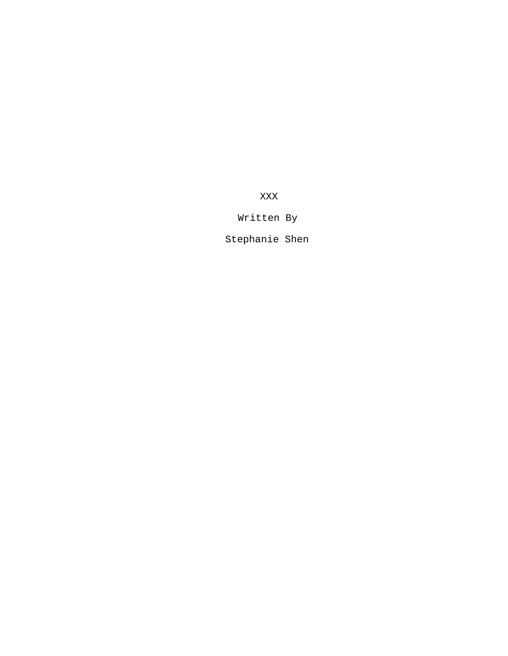XXX

# Written By

Stephanie Shen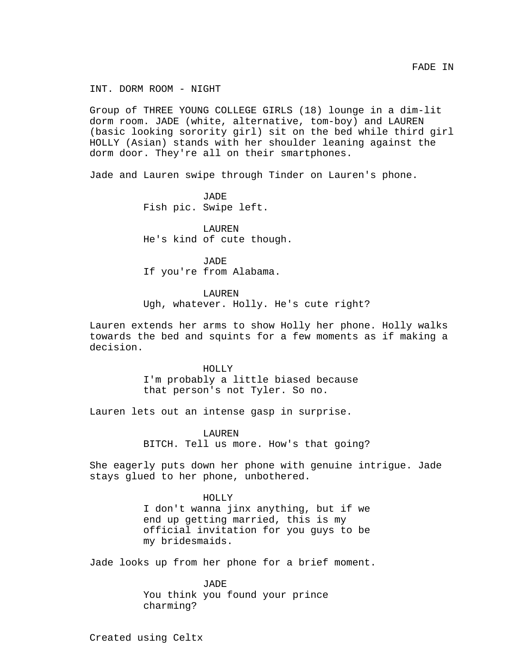INT. DORM ROOM - NIGHT

Group of THREE YOUNG COLLEGE GIRLS (18) lounge in a dim-lit dorm room. JADE (white, alternative, tom-boy) and LAUREN (basic looking sorority girl) sit on the bed while third girl HOLLY (Asian) stands with her shoulder leaning against the dorm door. They're all on their smartphones.

Jade and Lauren swipe through Tinder on Lauren's phone.

JADE Fish pic. Swipe left.

LAUREN He's kind of cute though.

JADE If you're from Alabama.

LAUREN

Ugh, whatever. Holly. He's cute right?

Lauren extends her arms to show Holly her phone. Holly walks towards the bed and squints for a few moments as if making a decision.

> HOLLY I'm probably a little biased because that person's not Tyler. So no.

Lauren lets out an intense gasp in surprise.

LAUREN BITCH. Tell us more. How's that going?

She eagerly puts down her phone with genuine intrigue. Jade stays glued to her phone, unbothered.

> HOLLY I don't wanna jinx anything, but if we end up getting married, this is my official invitation for you guys to be my bridesmaids.

Jade looks up from her phone for a brief moment.

JADE You think you found your prince charming?

Created using Celtx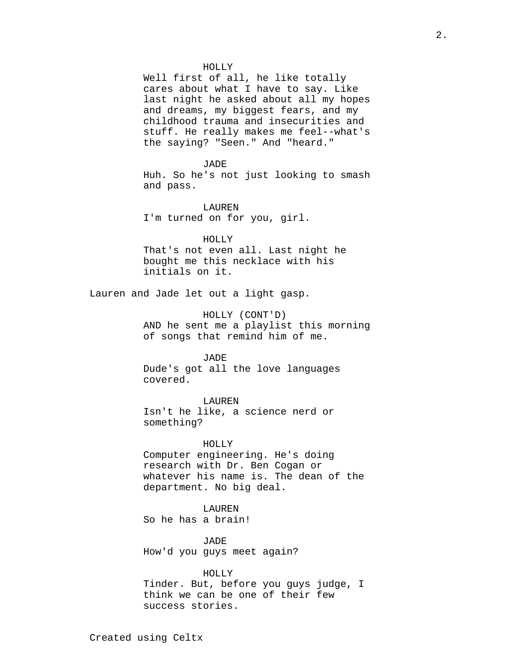### HOLLY

Well first of all, he like totally cares about what I have to say. Like last night he asked about all my hopes and dreams, my biggest fears, and my childhood trauma and insecurities and stuff. He really makes me feel--what's the saying? "Seen." And "heard."

#### JADE

Huh. So he's not just looking to smash and pass.

LAUREN I'm turned on for you, girl.

HOLLY That's not even all. Last night he bought me this necklace with his initials on it.

Lauren and Jade let out a light gasp.

HOLLY (CONT'D) AND he sent me a playlist this morning of songs that remind him of me.

JADE Dude's got all the love languages covered.

LAUREN Isn't he like, a science nerd or something?

# HOLLY

Computer engineering. He's doing research with Dr. Ben Cogan or whatever his name is. The dean of the department. No big deal.

### LAUREN

So he has a brain!

JADE How'd you guys meet again?

HOLLY

Tinder. But, before you guys judge, I think we can be one of their few success stories.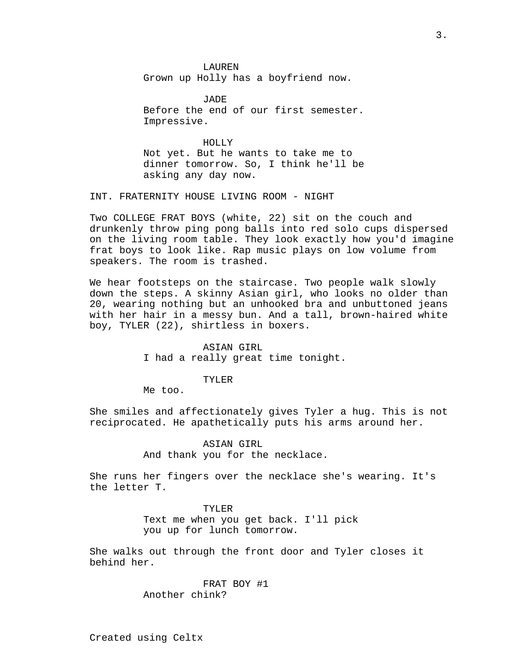LAUREN Grown up Holly has a boyfriend now.

JADE Before the end of our first semester. Impressive.

HOLLY Not yet. But he wants to take me to dinner tomorrow. So, I think he'll be asking any day now.

INT. FRATERNITY HOUSE LIVING ROOM - NIGHT

Two COLLEGE FRAT BOYS (white, 22) sit on the couch and drunkenly throw ping pong balls into red solo cups dispersed on the living room table. They look exactly how you'd imagine frat boys to look like. Rap music plays on low volume from speakers. The room is trashed.

We hear footsteps on the staircase. Two people walk slowly down the steps. A skinny Asian girl, who looks no older than 20, wearing nothing but an unhooked bra and unbuttoned jeans with her hair in a messy bun. And a tall, brown-haired white boy, TYLER (22), shirtless in boxers.

> ASIAN GIRL I had a really great time tonight.

#### TYLER

Me too.

She smiles and affectionately gives Tyler a hug. This is not reciprocated. He apathetically puts his arms around her.

> ASIAN GIRL And thank you for the necklace.

She runs her fingers over the necklace she's wearing. It's the letter T.

> TYLER Text me when you get back. I'll pick you up for lunch tomorrow.

She walks out through the front door and Tyler closes it behind her.

> FRAT BOY #1 Another chink?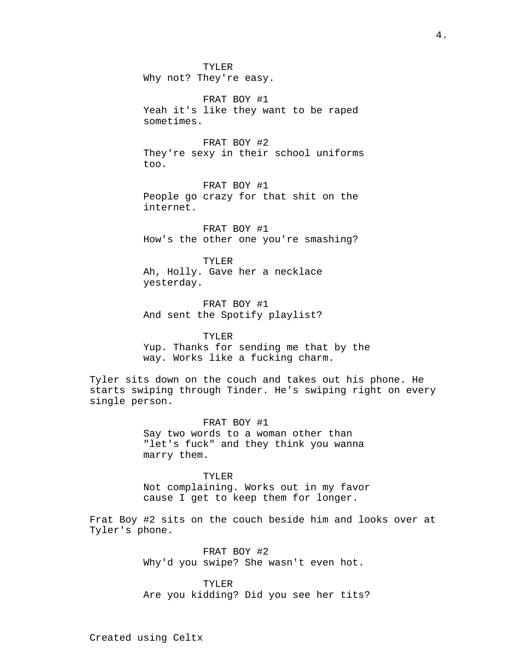TYLER Why not? They're easy.

FRAT BOY #1 Yeah it's like they want to be raped sometimes.

FRAT BOY #2 They're sexy in their school uniforms too.

FRAT BOY #1 People go crazy for that shit on the internet.

FRAT BOY #1 How's the other one you're smashing?

TYLER Ah, Holly. Gave her a necklace yesterday.

FRAT BOY #1 And sent the Spotify playlist?

TYLER Yup. Thanks for sending me that by the way. Works like a fucking charm.

Tyler sits down on the couch and takes out his phone. He starts swiping through Tinder. He's swiping right on every single person.

> FRAT BOY #1 Say two words to a woman other than "let's fuck" and they think you wanna marry them.

TYLER Not complaining. Works out in my favor cause I get to keep them for longer.

Frat Boy #2 sits on the couch beside him and looks over at Tyler's phone.

> FRAT BOY #2 Why'd you swipe? She wasn't even hot.

TYLER Are you kidding? Did you see her tits?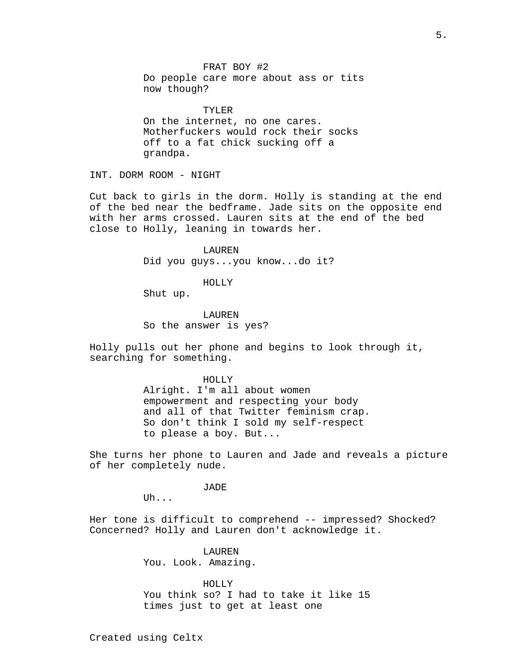FRAT BOY #2 Do people care more about ass or tits now though?

TYLER On the internet, no one cares. Motherfuckers would rock their socks off to a fat chick sucking off a grandpa.

INT. DORM ROOM - NIGHT

Cut back to girls in the dorm. Holly is standing at the end of the bed near the bedframe. Jade sits on the opposite end with her arms crossed. Lauren sits at the end of the bed close to Holly, leaning in towards her.

> LAUREN Did you guys...you know...do it?

### HOLLY

Shut up.

LAUREN So the answer is yes?

Holly pulls out her phone and begins to look through it, searching for something.

HOLLY

Alright. I'm all about women empowerment and respecting your body and all of that Twitter feminism crap. So don't think I sold my self-respect to please a boy. But...

She turns her phone to Lauren and Jade and reveals a picture of her completely nude.

JADE

Uh...

Her tone is difficult to comprehend -- impressed? Shocked? Concerned? Holly and Lauren don't acknowledge it.

> LAUREN You. Look. Amazing.

HOLLY You think so? I had to take it like 15 times just to get at least one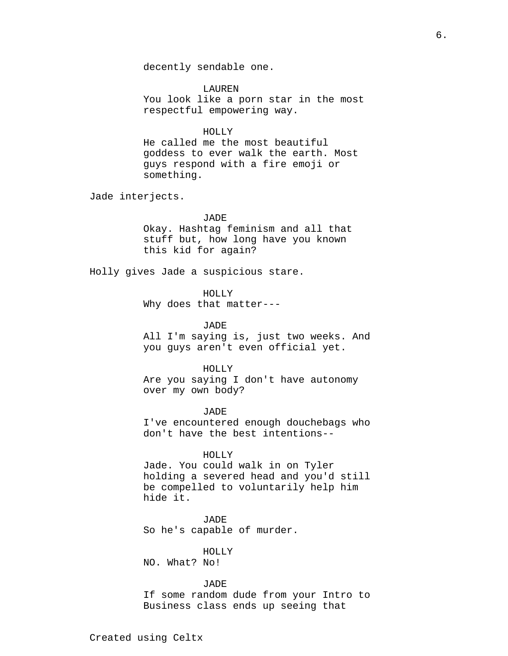LAUREN You look like a porn star in the most respectful empowering way.

### HOLLY

He called me the most beautiful goddess to ever walk the earth. Most guys respond with a fire emoji or something.

Jade interjects.

# JADE

Okay. Hashtag feminism and all that stuff but, how long have you known this kid for again?

Holly gives Jade a suspicious stare.

HOLLY

Why does that matter---

#### JADE

All I'm saying is, just two weeks. And you guys aren't even official yet.

#### HOLLY

Are you saying I don't have autonomy over my own body?

JADE I've encountered enough douchebags who don't have the best intentions--

### HOLLY

Jade. You could walk in on Tyler holding a severed head and you'd still be compelled to voluntarily help him hide it.

JADE So he's capable of murder.

# HOLLY

NO. What? No!

# JADE

If some random dude from your Intro to Business class ends up seeing that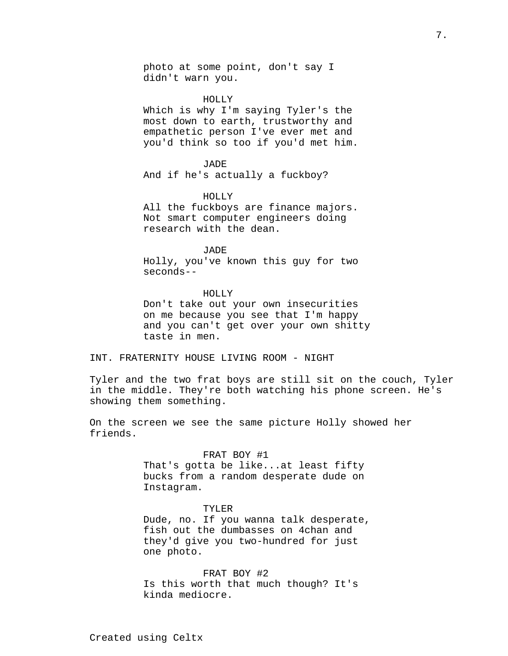photo at some point, don't say I didn't warn you.

HOLLY

Which is why I'm saying Tyler's the most down to earth, trustworthy and empathetic person I've ever met and you'd think so too if you'd met him.

#### JADE

And if he's actually a fuckboy?

### HOLLY

All the fuckboys are finance majors. Not smart computer engineers doing research with the dean.

# JADE

Holly, you've known this guy for two seconds--

#### HOLLY

Don't take out your own insecurities on me because you see that I'm happy and you can't get over your own shitty taste in men.

INT. FRATERNITY HOUSE LIVING ROOM - NIGHT

Tyler and the two frat boys are still sit on the couch, Tyler in the middle. They're both watching his phone screen. He's showing them something.

On the screen we see the same picture Holly showed her friends.

#### FRAT BOY #1

That's gotta be like...at least fifty bucks from a random desperate dude on Instagram.

#### TYLER

Dude, no. If you wanna talk desperate, fish out the dumbasses on 4chan and they'd give you two-hundred for just one photo.

FRAT BOY #2 Is this worth that much though? It's kinda mediocre.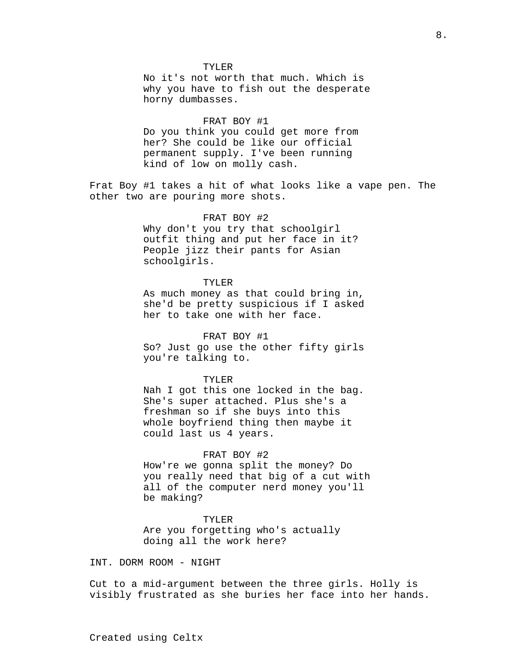#### TYLER

No it's not worth that much. Which is why you have to fish out the desperate horny dumbasses.

### FRAT BOY #1

Do you think you could get more from her? She could be like our official permanent supply. I've been running kind of low on molly cash.

Frat Boy #1 takes a hit of what looks like a vape pen. The other two are pouring more shots.

### FRAT BOY #2

Why don't you try that schoolgirl outfit thing and put her face in it? People jizz their pants for Asian schoolgirls.

# TYLER

As much money as that could bring in, she'd be pretty suspicious if I asked her to take one with her face.

### FRAT BOY #1

So? Just go use the other fifty girls you're talking to.

#### TYLER

Nah I got this one locked in the bag. She's super attached. Plus she's a freshman so if she buys into this whole boyfriend thing then maybe it could last us 4 years.

### FRAT BOY #2

How're we gonna split the money? Do you really need that big of a cut with all of the computer nerd money you'll be making?

### TYLER

Are you forgetting who's actually doing all the work here?

INT. DORM ROOM - NIGHT

Cut to a mid-argument between the three girls. Holly is visibly frustrated as she buries her face into her hands.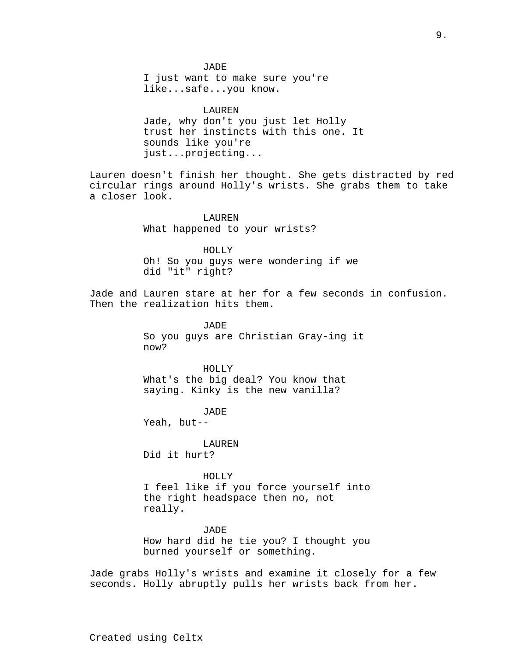JADE I just want to make sure you're like...safe...you know.

LAUREN Jade, why don't you just let Holly trust her instincts with this one. It sounds like you're just...projecting...

Lauren doesn't finish her thought. She gets distracted by red circular rings around Holly's wrists. She grabs them to take a closer look.

> LAUREN What happened to your wrists?

HOLLY Oh! So you guys were wondering if we did "it" right?

Jade and Lauren stare at her for a few seconds in confusion. Then the realization hits them.

> JADE So you guys are Christian Gray-ing it now?

HOLLY What's the big deal? You know that saying. Kinky is the new vanilla?

JADE

Yeah, but--

LAUREN Did it hurt?

HOLLY

I feel like if you force yourself into the right headspace then no, not really.

JADE How hard did he tie you? I thought you burned yourself or something.

Jade grabs Holly's wrists and examine it closely for a few seconds. Holly abruptly pulls her wrists back from her.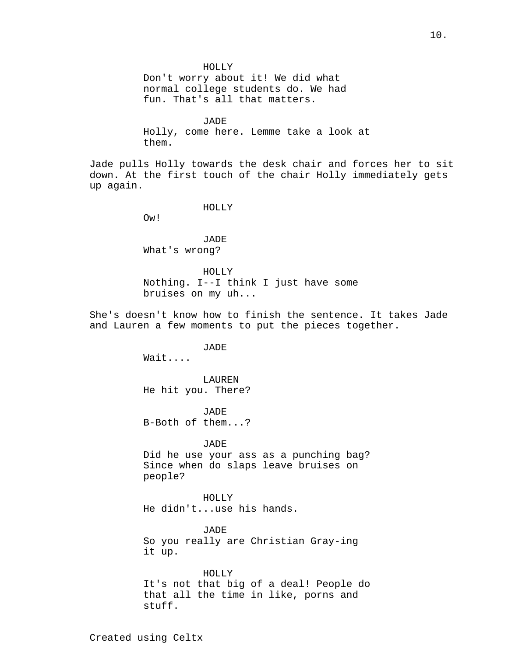HOLLY Don't worry about it! We did what normal college students do. We had fun. That's all that matters.

**JADE** Holly, come here. Lemme take a look at them.

Jade pulls Holly towards the desk chair and forces her to sit down. At the first touch of the chair Holly immediately gets up again.

HOLLY

Ow!

JADE What's wrong?

HOLLY Nothing. I--I think I just have some bruises on my uh...

She's doesn't know how to finish the sentence. It takes Jade and Lauren a few moments to put the pieces together.

JADE

Wait....

LAUREN He hit you. There?

JADE B-Both of them...?

JADE

Did he use your ass as a punching bag? Since when do slaps leave bruises on people?

HOLLY He didn't...use his hands.

JADE So you really are Christian Gray-ing it up.

HOLLY It's not that big of a deal! People do that all the time in like, porns and stuff.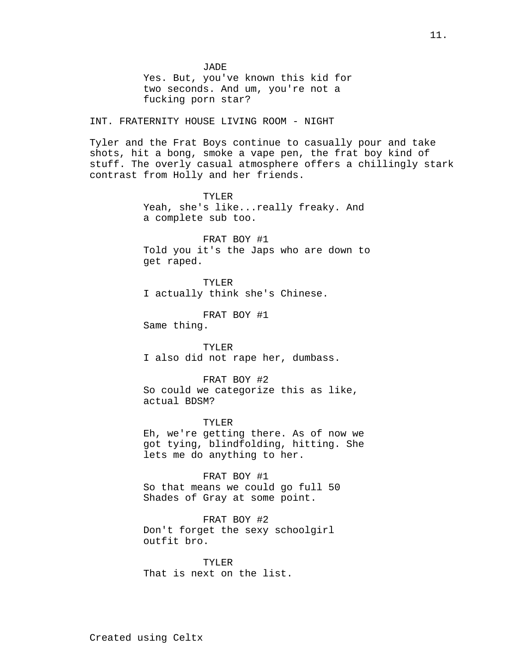JADE Yes. But, you've known this kid for two seconds. And um, you're not a fucking porn star? INT. FRATERNITY HOUSE LIVING ROOM - NIGHT Tyler and the Frat Boys continue to casually pour and take shots, hit a bong, smoke a vape pen, the frat boy kind of stuff. The overly casual atmosphere offers a chillingly stark contrast from Holly and her friends. TYLER Yeah, she's like...really freaky. And a complete sub too. FRAT BOY #1 Told you it's the Japs who are down to get raped. TYLER I actually think she's Chinese. FRAT BOY #1 Same thing. TYLER I also did not rape her, dumbass. FRAT BOY #2 So could we categorize this as like, actual BDSM? TYLER Eh, we're getting there. As of now we got tying, blindfolding, hitting. She lets me do anything to her. FRAT BOY #1 So that means we could go full 50 Shades of Gray at some point. FRAT BOY #2 Don't forget the sexy schoolgirl outfit bro. TYLER

That is next on the list.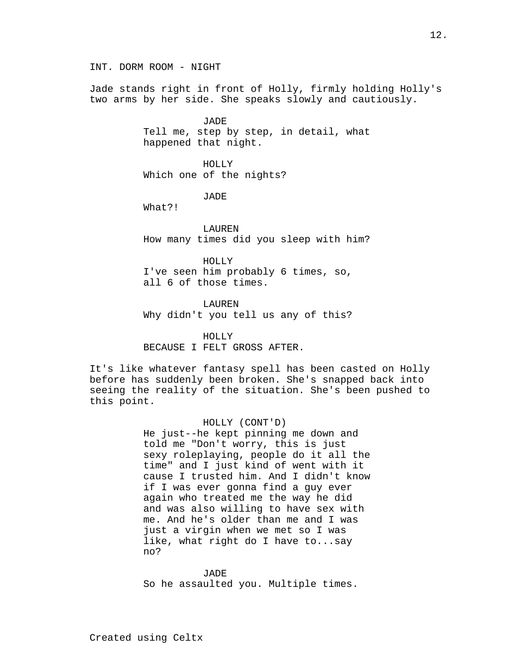INT. DORM ROOM - NIGHT

Jade stands right in front of Holly, firmly holding Holly's two arms by her side. She speaks slowly and cautiously.

> JADE Tell me, step by step, in detail, what happened that night.

HOLLY Which one of the nights?

JADE

What?!

LAUREN How many times did you sleep with him?

HOLLY I've seen him probably 6 times, so, all 6 of those times.

LAUREN Why didn't you tell us any of this?

HOLLY

BECAUSE I FELT GROSS AFTER.

It's like whatever fantasy spell has been casted on Holly before has suddenly been broken. She's snapped back into seeing the reality of the situation. She's been pushed to this point.

# HOLLY (CONT'D)

He just--he kept pinning me down and told me "Don't worry, this is just sexy roleplaying, people do it all the time" and I just kind of went with it cause I trusted him. And I didn't know if I was ever gonna find a guy ever again who treated me the way he did and was also willing to have sex with me. And he's older than me and I was just a virgin when we met so I was like, what right do I have to...say no?

JADE So he assaulted you. Multiple times.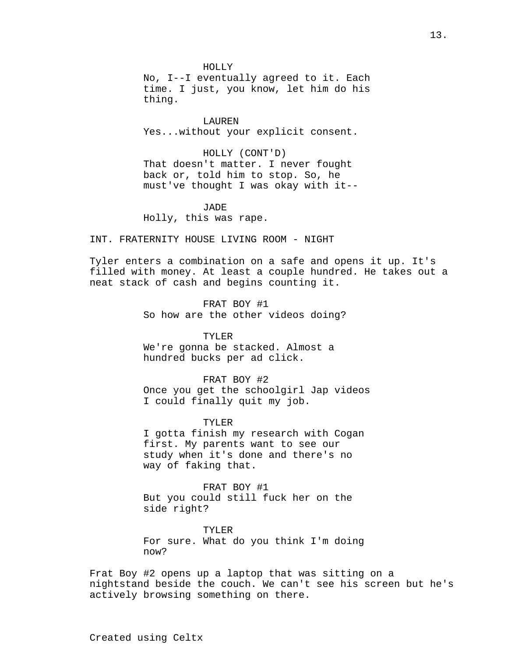HOLLY

No, I--I eventually agreed to it. Each time. I just, you know, let him do his thing.

LAUREN Yes...without your explicit consent.

HOLLY (CONT'D) That doesn't matter. I never fought back or, told him to stop. So, he must've thought I was okay with it--

JADE Holly, this was rape.

INT. FRATERNITY HOUSE LIVING ROOM - NIGHT

Tyler enters a combination on a safe and opens it up. It's filled with money. At least a couple hundred. He takes out a neat stack of cash and begins counting it.

> FRAT BOY #1 So how are the other videos doing?

TYLER We're gonna be stacked. Almost a hundred bucks per ad click.

FRAT BOY #2 Once you get the schoolgirl Jap videos I could finally quit my job.

TYLER I gotta finish my research with Cogan first. My parents want to see our study when it's done and there's no way of faking that.

FRAT BOY #1 But you could still fuck her on the side right?

TYLER For sure. What do you think I'm doing now?

Frat Boy #2 opens up a laptop that was sitting on a nightstand beside the couch. We can't see his screen but he's actively browsing something on there.

Created using Celtx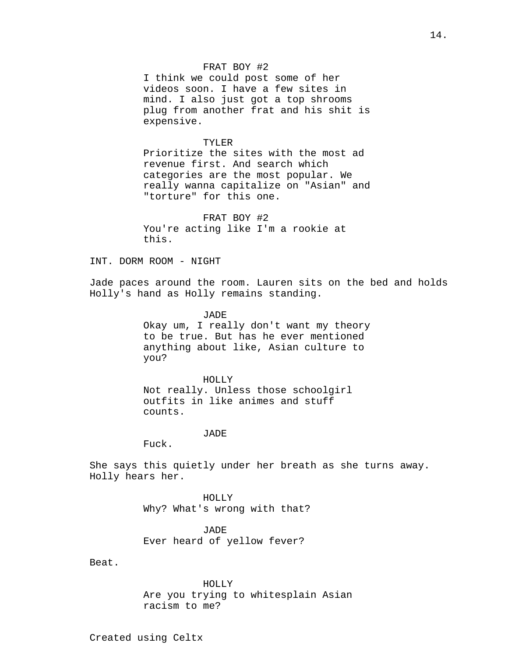### FRAT BOY #2

I think we could post some of her videos soon. I have a few sites in mind. I also just got a top shrooms plug from another frat and his shit is expensive.

### TYLER

Prioritize the sites with the most ad revenue first. And search which categories are the most popular. We really wanna capitalize on "Asian" and "torture" for this one.

FRAT BOY #2 You're acting like I'm a rookie at this.

### INT. DORM ROOM - NIGHT

Jade paces around the room. Lauren sits on the bed and holds Holly's hand as Holly remains standing.

JADE

Okay um, I really don't want my theory to be true. But has he ever mentioned anything about like, Asian culture to you?

HOLLY Not really. Unless those schoolgirl outfits in like animes and stuff counts.

### JADE

Fuck.

She says this quietly under her breath as she turns away. Holly hears her.

> HOLLY Why? What's wrong with that?

JADE Ever heard of yellow fever?

Beat.

### HOLLY

Are you trying to whitesplain Asian racism to me?

Created using Celtx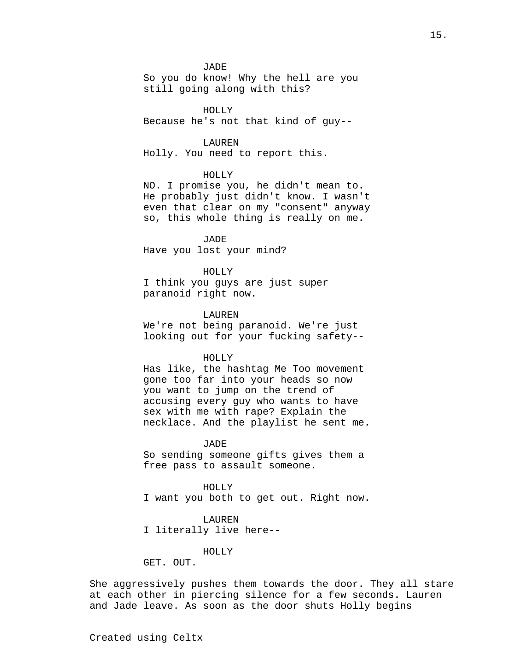#### JADE

So you do know! Why the hell are you still going along with this?

HOLLY Because he's not that kind of guy--

#### LAUREN

Holly. You need to report this.

# HOLLY

NO. I promise you, he didn't mean to. He probably just didn't know. I wasn't even that clear on my "consent" anyway so, this whole thing is really on me.

JADE Have you lost your mind?

#### HOLLY

I think you guys are just super paranoid right now.

### LAUREN

We're not being paranoid. We're just looking out for your fucking safety--

#### HOLLY

Has like, the hashtag Me Too movement gone too far into your heads so now you want to jump on the trend of accusing every guy who wants to have sex with me with rape? Explain the necklace. And the playlist he sent me.

#### **JADE**

So sending someone gifts gives them a free pass to assault someone.

#### HOLLY

I want you both to get out. Right now.

### LAUREN

I literally live here--

# HOLLY

GET. OUT.

She aggressively pushes them towards the door. They all stare at each other in piercing silence for a few seconds. Lauren and Jade leave. As soon as the door shuts Holly begins